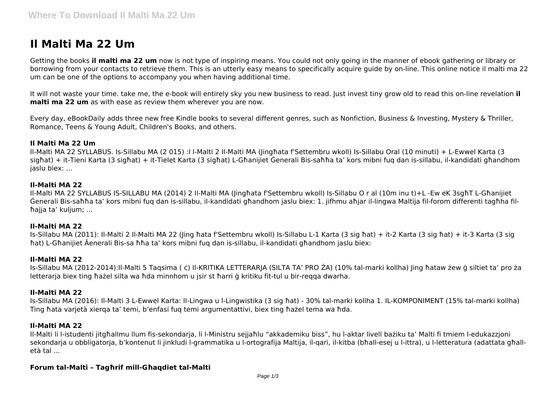# **Il Malti Ma 22 Um**

Getting the books **il malti ma 22 um** now is not type of inspiring means. You could not only going in the manner of ebook gathering or library or borrowing from your contacts to retrieve them. This is an utterly easy means to specifically acquire guide by on-line. This online notice il malti ma 22 um can be one of the options to accompany you when having additional time.

It will not waste your time. take me, the e-book will entirely sky you new business to read. Just invest tiny grow old to read this on-line revelation **il malti ma 22 um** as with ease as review them wherever you are now.

Every day, eBookDaily adds three new free Kindle books to several different genres, such as Nonfiction, Business & Investing, Mystery & Thriller, Romance, Teens & Young Adult, Children's Books, and others.

### **Il Malti Ma 22 Um**

Il-Malti MA 22 SYLLABUS. Is-Sillabu MA (2 015) :I l-Malti 2 Il-Malti MA (Jingħata f'Settembru wkoll) Is-Sillabu Oral (10 minuti) + L-Ewwel Karta (3 sigħat) + it-Tieni Karta (3 sigħat) + it-Tielet Karta (3 sigħat) L-Għanijiet Ġenerali Bis-saħħa ta' kors mibni fuq dan is-sillabu, il-kandidati għandhom jaslu biex: ...

### **Il-Malti MA 22**

Il-Malti MA 22 SYLLABUS IS-SILLABU MA (2014) 2 Il-Malti MA (Jingħata f'Settembru wkoll) Is-Sillabu O r al (10m inu t)+L -Ew eK 3sgħT L-Għanijiet Ġenerali Bis-saħħa ta' kors mibni fuq dan is-sillabu, il-kandidati għandhom jaslu biex: 1. jifhmu aħjar il-lingwa Maltija fil-forom differenti tagħha filħajja ta' kuljum; ...

# **Il-Malti MA 22**

Is-Sillabu MA (2011): Il-Malti 2 Il-Malti MA 22 (Jing ħata f'Settembru wkoll) Is-Sillabu L-1 Karta (3 sig ħat) + it-2 Karta (3 sig ħat) + it-3 Karta (3 sig ħat) L-Għanijiet Āenerali Bis-sa ħħa ta' kors mibni fuq dan is-sillabu, il-kandidati għandhom jaslu biex:

# **Il-Malti MA 22**

Is-Sillabu MA (2012-2014):Il-Malti 5 Taqsima ( ċ) Il-KRITIKA LETTERARJA (SILTA TA' PRO ŻA) (10% tal-marki kollha) Jing ħataw żew ġ siltiet ta' pro ża letterarja biex ting ħażel silta wa ħda minnhom u jsir st ħarri ġ kritiku fit-tul u bir-reqqa dwarha.

# **Il-Malti MA 22**

Is-Sillabu MA (2016): Il-Malti 3 L-Ewwel Karta: Il-Lingwa u l-Lingwistika (3 sig ħat) - 30% tal-marki kollha 1. IL-KOMPONIMENT (15% tal-marki kollha) Ting ħata varjetà xierqa ta' temi, b'enfasi fuq temi argumentattivi, biex ting ħażel tema wa ħda.

# **Il-Malti MA 22**

Il-Malti li l-istudenti jitgħallmu llum fis-sekondarja, li l-Ministru sejjaħlu "akkademiku biss", hu l-aktar livell bażiku ta' Malti fi tmiem l-edukazzjoni sekondaria u obbligatoria, b'kontenut li jinkludi l-grammatika u l-ortografija Maltija, il-gari, il-kitba (bħall-esej u l-ittra), u l-letteratura (adattata għalletà tal ...

# **Forum tal-Malti – Tagħrif mill-Għaqdiet tal-Malti**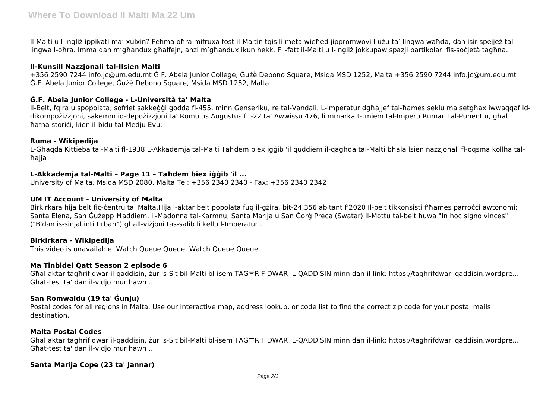Il-Malti u l-Ingliż ippikati ma' xulxin? Fehma oħra mifruxa fost il-Maltin tqis li meta wieħed jippromwovi l-użu ta' lingwa waħda, dan isir spejjeż tallingwa l-oħra. Imma dan m'għandux għalfejn, anzi m'għandux ikun hekk. Fil-fatt il-Malti u l-Ingliż jokkupaw spazji partikolari fis-soċjetà tagħna.

# **Il-Kunsill Nazzjonali tal-Ilsien Malti**

+356 2590 7244 info.jc@um.edu.mt Ġ.F. Abela Junior College, Ġużè Debono Square, Msida MSD 1252, Malta +356 2590 7244 info.jc@um.edu.mt Ġ.F. Abela Junior College, Ġużè Debono Square, Msida MSD 1252, Malta

# **Ġ.F. Abela Junior College - L-Università ta' Malta**

Il-Belt, fqira u spopolata, sofriet sakkeġġi ġodda fl-455, minn Ġenseriku, re tal-Vandali. L-imperatur dgħajjef tal-ħames seklu ma setgħax iwwaqqaf iddikompożizzjoni, sakemm id-depożizzjoni ta' Romulus Augustus fit-22 ta' Awwissu 476, li mmarka t-tmiem tal-Imperu Ruman tal-Punent u, għal ħafna storiċi, kien il-bidu tal-Medju Evu.

# **Ruma - Wikipedija**

L-Għaqda Kittieba tal-Malti fl-1938 L-Akkademja tal-Malti Taħdem biex iġġib 'il quddiem il-qagħda tal-Malti bħala lsien nazzjonali fl-oqsma kollha talħajja

# **L-Akkademja tal-Malti – Page 11 – Taħdem biex iġġib 'il ...**

University of Malta, Msida MSD 2080, Malta Tel: +356 2340 2340 - Fax: +356 2340 2342

#### **UM IT Account - University of Malta**

Birkirkara hija belt fiċ-ċentru ta' Malta.Hija l-aktar belt popolata fuq il-gżira, bit-24,356 abitant f'2020 Il-belt tikkonsisti f'ħames parroċċi awtonomi: Santa Elena, San Ġużepp Ħaddiem, il-Madonna tal-Karmnu, Santa Marija u San Ġorġ Preca (Swatar).Il-Mottu tal-belt huwa "In hoc signo vinces" ("B'dan is-sinjal inti tirbaħ") għall-viżjoni tas-salib li kellu l-Imperatur ...

# **Birkirkara - Wikipedija**

This video is unavailable. Watch Queue Queue. Watch Queue Queue

#### **Ma Tinbidel Qatt Season 2 episode 6**

Għal aktar tagħrif dwar il-qaddisin, żur is-Sit bil-Malti bl-isem TAGĦRIF DWAR IL-QADDISIN minn dan il-link: https://taghrifdwarilqaddisin.wordpre... Għat-test ta' dan il-vidjo mur hawn ...

# **San Romwaldu (19 ta' Ġunju)**

Postal codes for all regions in Malta. Use our interactive map, address lookup, or code list to find the correct zip code for your postal mails destination.

#### **Malta Postal Codes**

Għal aktar tagħrif dwar il-qaddisin, żur is-Sit bil-Malti bl-isem TAGĦRIF DWAR IL-QADDISIN minn dan il-link: https://taghrifdwarilqaddisin.wordpre... Għat-test ta' dan il-vidjo mur hawn ...

# **Santa Marija Cope (23 ta' Jannar)**